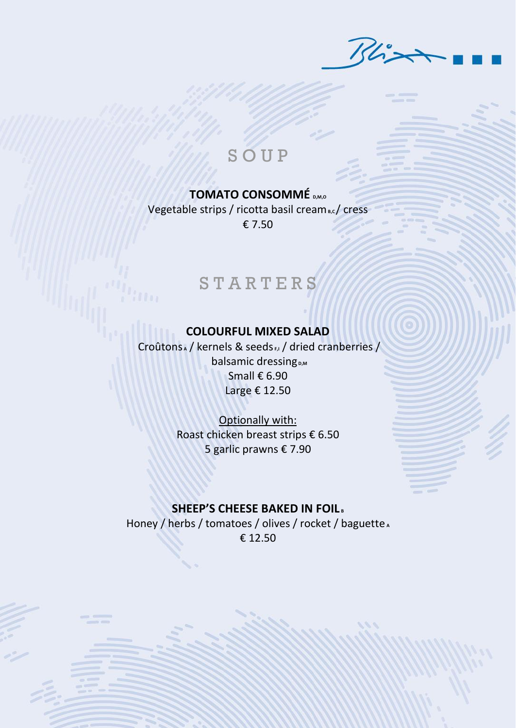

### **TOMATO CONSOMMÉ DMO**

Vegetable strips / ricotta basil cream<sub>B,c</sub>/ cress € 7.50

# **STARTERS**

#### **COLOURFUL MIXED SALAD**

Croûtons **<sup>A</sup>** / kernels & seeds **F,I** / dried cranberries / balsamic dressing<sub>D,M</sub> Small € 6.90 Large € 12.50

> Optionally with: Roast chicken breast strips € 6.50 5 garlic prawns € 7.90

#### **SHEEP'S CHEESE BAKED IN FOIL <sup>B</sup>**

Honey / herbs / tomatoes / olives / rocket / baguette **<sup>A</sup>** € 12.50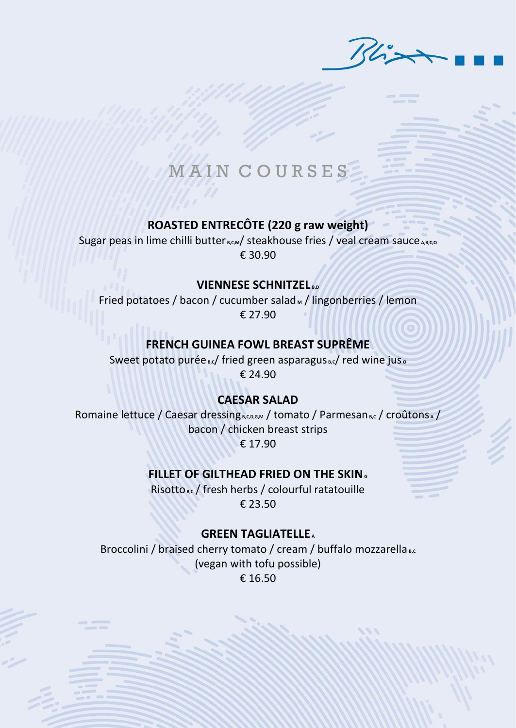# MAIN COURSES

#### **ROASTED ENTRECÔTE (220 g raw weight)**

Sugar peas in lime chilli butter **B,C,M**/ steakhouse fries / veal cream sauce A,B,C,O € 30.90

#### **VIENNESE SCHNITZEL B,D**

Fried potatoes / bacon / cucumber salad M / lingonberries / lemon € 27.90

#### **FRENCH GUINEA FOWL BREAST SUPRÊME**

Sweet potato purée **B,c**/ fried green asparagus **B,c**/ red wine jus **o** € 24.90

#### **CAESAR SALAD**

Romaine lettuce / Caesar dressing **B,C,D,G,M** / tomato / Parmesan **B,c** / croûtons A / bacon / chicken breast strips € 17.90

#### **FILLET OF GILTHEAD FRIED ON THE SKING**

Risotto **B,C** / fresh herbs / colourful ratatouille € 23.50

#### **GREEN TAGLIATELLE <sup>A</sup>**

Broccolini / braised cherry tomato / cream / buffalo mozzarella **B**,c (vegan with tofu possible) € 16.50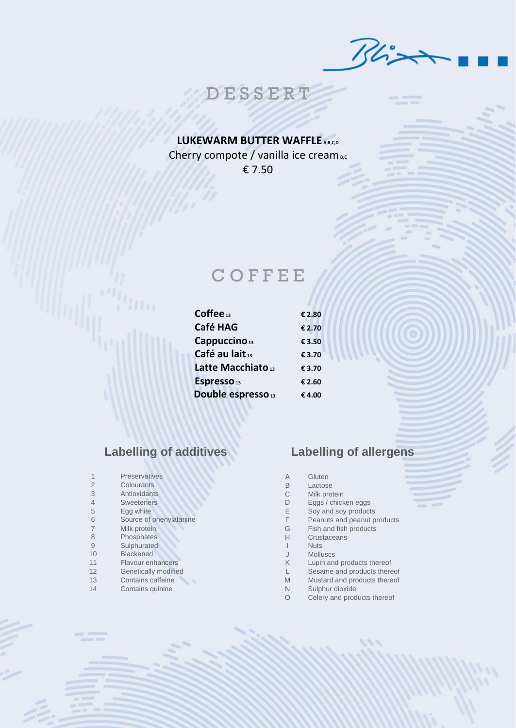$B22$ 

# D E S S E R T

**LUKEWARM BUTTER WAFFLE A,B,C,D** Cherry compote / vanilla ice cream<sub>B,c</sub> € 7.50

# **COFFEE**

| Coffee 13                     | € 2.80 |
|-------------------------------|--------|
| <b>Café HAG</b>               | € 2.70 |
| Cappuccino 13                 | € 3.50 |
| Café au lait 13               | € 3.70 |
| Latte Macchiato 13            | € 3.70 |
| Espresso <sub>13</sub>        | € 2.60 |
| Double espresso <sub>13</sub> | €4.00  |

|                | <b>Preservatives</b>     | A | Gluten                       |
|----------------|--------------------------|---|------------------------------|
| $\overline{2}$ | Colourants               | B | Lactose                      |
| 3              | Antioxidants             | С | Milk protein                 |
| $\overline{4}$ | <b>Sweeteners</b>        | D | Eggs / chicken eggs          |
| 5              | Egg white                | Ε | Soy and soy products         |
| 6              | Source of phenylalanine  | F | Peanuts and peanut products  |
| $\overline{7}$ | Milk protein             | G | Fish and fish products       |
| 8              | Phosphates               | Н | Crustaceans                  |
| 9              | Sulphurated              |   | <b>Nuts</b>                  |
| 10             | <b>Blackened</b>         |   | <b>Molluscs</b>              |
| 11             | <b>Flavour enhancers</b> | K | Lupin and products thereof   |
| 12             | Genetically modified     |   | Sesame and products thereof  |
| 13             | Contains caffeine        | M | Mustard and products thereof |
| 14             | Contains quinine         | N | Sulphur dioxide              |
|                |                          |   |                              |

## **Labelling of additives Labelling of allergens**

| Α | Gluten                       |  |
|---|------------------------------|--|
| B | Lactose                      |  |
| C | Milk protein                 |  |
| D | Eggs / chicken eggs          |  |
| E | Soy and soy products         |  |
| F | Peanuts and peanut products  |  |
| G | Fish and fish products       |  |
| Н | Crustaceans                  |  |
|   | <b>Nuts</b>                  |  |
| J | <b>Molluscs</b>              |  |
| K | Lupin and products thereof   |  |
| L | Sesame and products thereof  |  |
| M | Mustard and products thereof |  |
| N | Sulphur dioxide              |  |
| Ο | Celery and products thereof  |  |